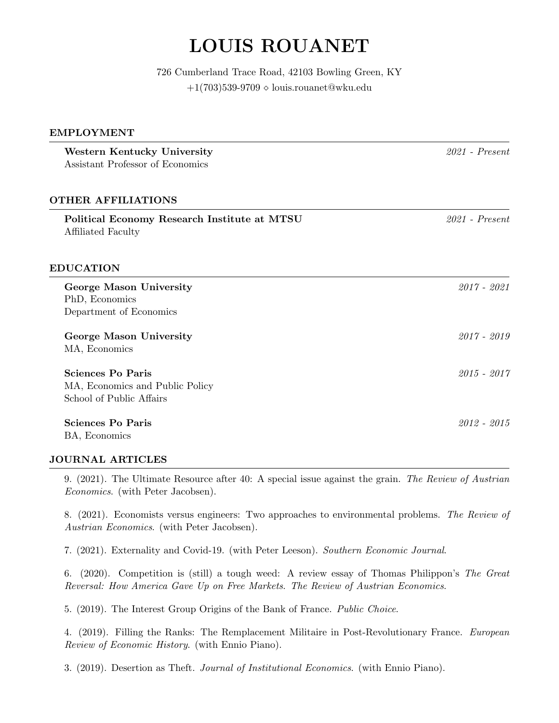# LOUIS ROUANET

726 Cumberland Trace Road, 42103 Bowling Green, KY  $+1(703)539-9709 \diamond$  louis.rouanet@wku.edu

#### EMPLOYMENT

| Western Kentucky University<br>Assistant Professor of Economics                         | $2021$ - Present |
|-----------------------------------------------------------------------------------------|------------------|
| <b>OTHER AFFILIATIONS</b>                                                               |                  |
| Political Economy Research Institute at MTSU<br>Affiliated Faculty                      | $2021$ - Present |
| <b>EDUCATION</b>                                                                        |                  |
| George Mason University<br>PhD, Economics<br>Department of Economics                    | $2017 - 2021$    |
| George Mason University<br>MA, Economics                                                | $2017 - 2019$    |
| <b>Sciences Po Paris</b><br>MA, Economics and Public Policy<br>School of Public Affairs | $2015 - 2017$    |
| <b>Sciences Po Paris</b><br>BA, Economics                                               | $2012 - 2015$    |

# JOURNAL ARTICLES

9. (2021). The Ultimate Resource after 40: A special issue against the grain. The Review of Austrian Economics. (with Peter Jacobsen).

8. (2021). Economists versus engineers: Two approaches to environmental problems. The Review of Austrian Economics. (with Peter Jacobsen).

7. (2021). Externality and Covid-19. (with Peter Leeson). Southern Economic Journal.

6. (2020). Competition is (still) a tough weed: A review essay of Thomas Philippon's The Great Reversal: How America Gave Up on Free Markets. The Review of Austrian Economics.

5. (2019). The Interest Group Origins of the Bank of France. Public Choice.

4. (2019). Filling the Ranks: The Remplacement Militaire in Post-Revolutionary France. European Review of Economic History. (with Ennio Piano).

3. (2019). Desertion as Theft. Journal of Institutional Economics. (with Ennio Piano).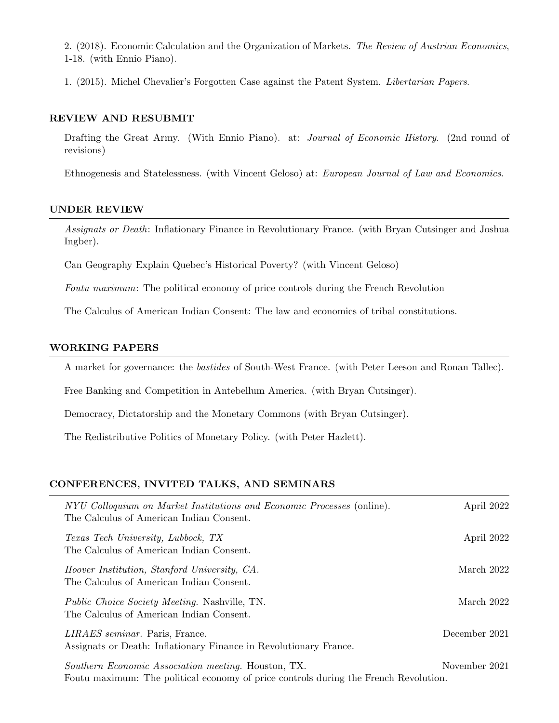2. (2018). Economic Calculation and the Organization of Markets. The Review of Austrian Economics, 1-18. (with Ennio Piano).

1. (2015). Michel Chevalier's Forgotten Case against the Patent System. Libertarian Papers.

#### REVIEW AND RESUBMIT

Drafting the Great Army. (With Ennio Piano). at: *Journal of Economic History.* (2nd round of revisions)

Ethnogenesis and Statelessness. (with Vincent Geloso) at: European Journal of Law and Economics.

#### UNDER REVIEW

Assignats or Death: Inflationary Finance in Revolutionary France. (with Bryan Cutsinger and Joshua Ingber).

Can Geography Explain Quebec's Historical Poverty? (with Vincent Geloso)

Foutu maximum: The political economy of price controls during the French Revolution

The Calculus of American Indian Consent: The law and economics of tribal constitutions.

#### WORKING PAPERS

A market for governance: the bastides of South-West France. (with Peter Leeson and Ronan Tallec).

Free Banking and Competition in Antebellum America. (with Bryan Cutsinger).

Democracy, Dictatorship and the Monetary Commons (with Bryan Cutsinger).

The Redistributive Politics of Monetary Policy. (with Peter Hazlett).

# CONFERENCES, INVITED TALKS, AND SEMINARS

| NYU Colloquium on Market Institutions and Economic Processes (online).<br>The Calculus of American Indian Consent.                          | April 2022    |
|---------------------------------------------------------------------------------------------------------------------------------------------|---------------|
| Texas Tech University, Lubbock, TX<br>The Calculus of American Indian Consent.                                                              | April 2022    |
| Hoover Institution, Stanford University, CA.<br>The Calculus of American Indian Consent.                                                    | March 2022    |
| <i>Public Choice Society Meeting.</i> Nashville, TN.<br>The Calculus of American Indian Consent.                                            | March 2022    |
| LIRAES seminar. Paris, France.<br>Assignats or Death: Inflationary Finance in Revolutionary France.                                         | December 2021 |
| Southern Economic Association meeting. Houston, TX.<br>Foutu maximum: The political economy of price controls during the French Revolution. | November 2021 |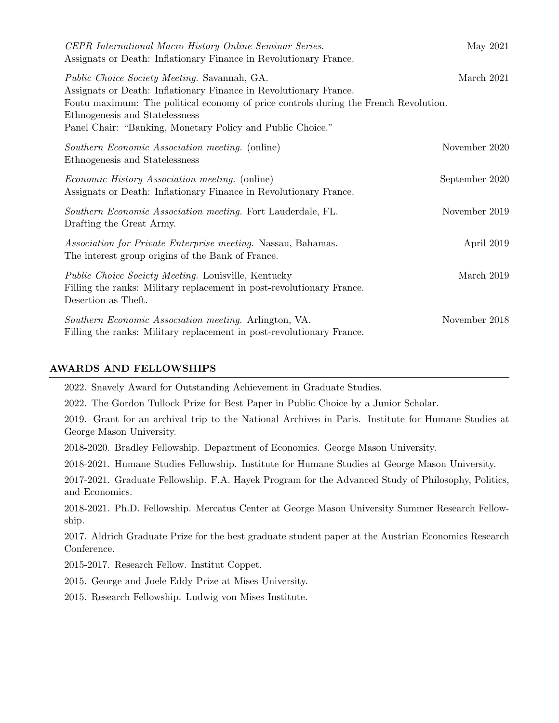| CEPR International Macro History Online Seminar Series.<br>Assignats or Death: Inflationary Finance in Revolutionary France.                                                                                                                                                                                     | May 2021       |
|------------------------------------------------------------------------------------------------------------------------------------------------------------------------------------------------------------------------------------------------------------------------------------------------------------------|----------------|
| <i>Public Choice Society Meeting.</i> Savannah, GA.<br>Assignats or Death: Inflationary Finance in Revolutionary France.<br>Foutu maximum: The political economy of price controls during the French Revolution.<br>Ethnogenesis and Statelessness<br>Panel Chair: "Banking, Monetary Policy and Public Choice." | March 2021     |
| Southern Economic Association meeting. (online)<br>Ethnogenesis and Statelessness                                                                                                                                                                                                                                | November 2020  |
| <i>Economic History Association meeting.</i> (online)<br>Assignats or Death: Inflationary Finance in Revolutionary France.                                                                                                                                                                                       | September 2020 |
| Southern Economic Association meeting. Fort Lauderdale, FL.<br>Drafting the Great Army.                                                                                                                                                                                                                          | November 2019  |
| <i>Association for Private Enterprise meeting.</i> Nassau, Bahamas.<br>The interest group origins of the Bank of France.                                                                                                                                                                                         | April 2019     |
| <i>Public Choice Society Meeting.</i> Louisville, Kentucky<br>Filling the ranks: Military replacement in post-revolutionary France.<br>Desertion as Theft.                                                                                                                                                       | March 2019     |
| Southern Economic Association meeting. Arlington, VA.<br>Filling the ranks: Military replacement in post-revolutionary France.                                                                                                                                                                                   | November 2018  |

# AWARDS AND FELLOWSHIPS

2022. Snavely Award for Outstanding Achievement in Graduate Studies.

2022. The Gordon Tullock Prize for Best Paper in Public Choice by a Junior Scholar.

2019. Grant for an archival trip to the National Archives in Paris. Institute for Humane Studies at George Mason University.

2018-2020. Bradley Fellowship. Department of Economics. George Mason University.

2018-2021. Humane Studies Fellowship. Institute for Humane Studies at George Mason University.

2017-2021. Graduate Fellowship. F.A. Hayek Program for the Advanced Study of Philosophy, Politics, and Economics.

2018-2021. Ph.D. Fellowship. Mercatus Center at George Mason University Summer Research Fellowship.

2017. Aldrich Graduate Prize for the best graduate student paper at the Austrian Economics Research Conference.

2015-2017. Research Fellow. Institut Coppet.

2015. George and Joele Eddy Prize at Mises University.

2015. Research Fellowship. Ludwig von Mises Institute.